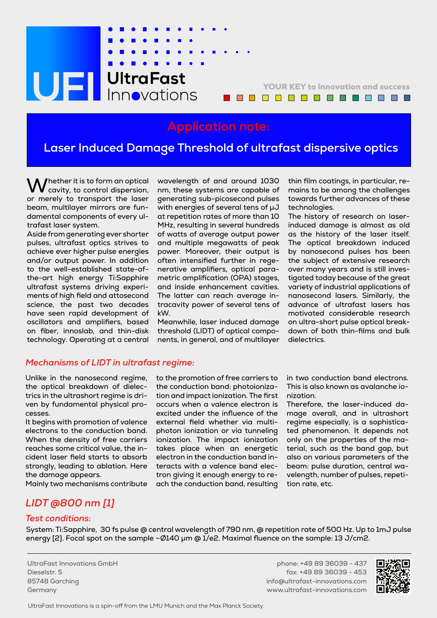# **UEL** UltraFast

YOUR KEY to innovation and success <u>. . . . . . . . . . . . . .</u>

# **Application note:**

# **Laser Induced Damage Threshold of ultrafast dispersive optics**

Whether it is to form an optical cavity, to control dispersion, or merely to transport the laser beam, multilayer mirrors are fundamental components of every ultrafast laser system.

Aside from generating ever shorter pulses, ultrafast optics strives to achieve ever higher pulse energies and/or output power. In addition to the well-established state-ofthe-art high energy Ti:Sapphire ultrafast systems driving experiments of high field and attosecond science, the past two decades have seen rapid development of oscillators and amplifiers, based on fiber, innoslab, and thin-disk technology. Operating at a central wavelength of and around 1030 nm, these systems are capable of generating sub-picosecond pulses with energies of several tens of μJ at repetition rates of more than 10 MHz, resulting in several hundreds of watts of average output power and multiple megawatts of peak power. Moreover, their output is often intensified further in regenerative amplifiers, optical parametric amplification (OPA) stages, and inside enhancement cavities. The latter can reach average intracavity power of several tens of kW.

Meanwhile, laser induced damage threshold (LIDT) of optical components, in general, and of multilayer thin film coatings, in particular, remains to be among the challenges towards further advances of these technologies.

The history of research on laserinduced damage is almost as old as the history of the laser itself. The optical breakdown induced by nanosecond pulses has been the subject of extensive research over many years and is still investigated today because of the great variety of industrial applications of nanosecond lasers. Similarly, the advance of ultrafast lasers has motivated considerable research on ultra-short pulse optical breakdown of both thin-films and bulk dielectrics.

#### *Mechanisms of LIDT in ultrafast regime:*

Unlike in the nanosecond regime, the optical breakdown of dielectrics in the ultrashort regime is driven by fundamental physical processes.

It begins with promotion of valence electrons to the conduction band. When the density of free carriers reaches some critical value, the incident laser field starts to absorb strongly, leading to ablation. Here the damage appears.

Mainly two mechanisms contribute

to the promotion of free carriers to the conduction band: photoionization and impact ionization. The first occurs when a valence electron is excited under the influence of the external field whether via multiphoton ionization or via tunneling ionization. The impact ionization takes place when an energetic electron in the conduction band interacts with a valence band electron giving it enough energy to reach the conduction band, resulting

in two conduction band electrons. This is also known as avalanche ionization.

Therefore, the laser-induced damage overall, and in ultrashort regime especially, is a sophisticated phenomenon. It depends not only on the properties of the material, such as the band gap, but also on various parameters of the beam: pulse duration, central wavelength, number of pulses, repetition rate, etc.

## *LIDT @800 nm [1]*

### *Test conditions:*

System: Ti:Sapphire, 30 fs pulse @ central wavelength of 790 nm, @ repetition rate of 500 Hz. Up to 1mJ pulse energy [2]. Focal spot on the sample  $\sim$  Ø140 µm @ 1/e2. Maximal fluence on the sample: 13 J/cm2.

UltraFast Innovations GmbH Dieselstr. 5 85748 Garching Germany

phone: +49 89 36039 - 437 fax: +49 89 36039 - 453 info@ultrafast-innovations.com www.ultrafast-innovations.com